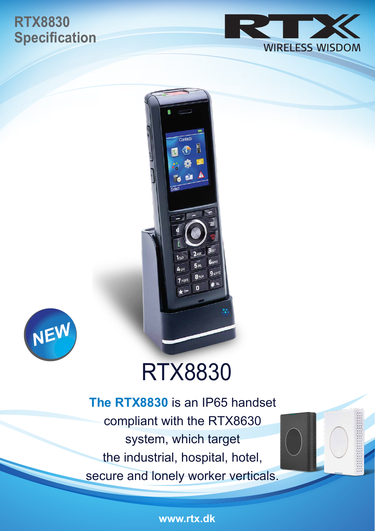# **RTX8830 Specification**







# RTX8830

**The RTX8830** is an IP65 handset compliant with the RTX8630 system, which target the industrial, hospital, hotel, secure and lonely worker verticals.

**www.rtx.dk**